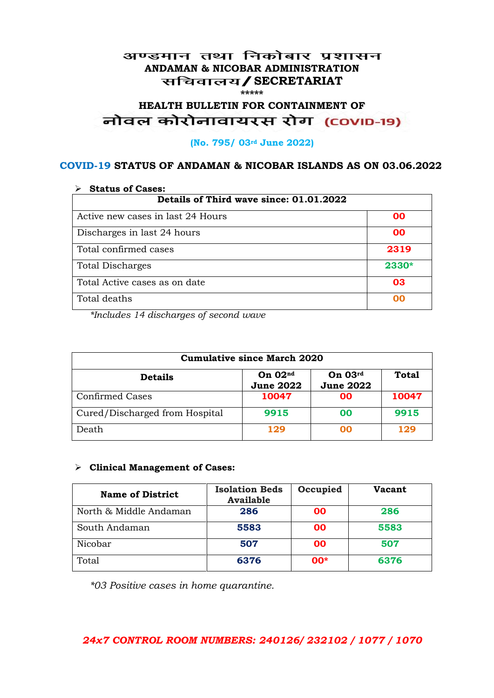#### अण्डमान तथा निकोबार प्रशासन **ANDAMAN & NICOBAR ADMINISTRATION /SECRETARIAT \*\*\*\*\***

# HEALTH BULLETIN FOR CONTAINMENT OF<br>बोवल कोरोनावायरस रोग (COVID-19)

#### **(No. 795/ 03rd June 2022)**

#### **COVID-19 STATUS OF ANDAMAN & NICOBAR ISLANDS AS ON 03.06.2022**

| <b>Status of Cases:</b>                 |       |  |
|-----------------------------------------|-------|--|
| Details of Third wave since: 01.01.2022 |       |  |
| Active new cases in last 24 Hours       | 00    |  |
| Discharges in last 24 hours             | 00    |  |
| Total confirmed cases                   | 2319  |  |
| <b>Total Discharges</b>                 | 2330* |  |
| Total Active cases as on date           | 03    |  |
| Total deaths                            | OO    |  |

*\*Includes 14 discharges of second wave*

| <b>Cumulative since March 2020</b> |                               |                               |              |
|------------------------------------|-------------------------------|-------------------------------|--------------|
| <b>Details</b>                     | On $02nd$<br><b>June 2022</b> | On $03rd$<br><b>June 2022</b> | <b>Total</b> |
| <b>Confirmed Cases</b>             | 10047                         | 00                            | 10047        |
| Cured/Discharged from Hospital     | 9915                          | 00                            | 9915         |
| Death                              | 129                           | 00                            | 129          |

#### **Clinical Management of Cases:**

| <b>Name of District</b> | <b>Isolation Beds</b><br><b>Available</b> | Occupied  | Vacant |
|-------------------------|-------------------------------------------|-----------|--------|
| North & Middle Andaman  | 286                                       | <b>OO</b> | 286    |
| South Andaman           | 5583                                      | <b>OO</b> | 5583   |
| Nicobar                 | 507                                       | <b>OO</b> | 507    |
| Total                   | 6376                                      | $00*$     | 6376   |

*\*03 Positive cases in home quarantine.*

#### *24x7 CONTROL ROOM NUMBERS: 240126/ 232102 / 1077 / 1070*